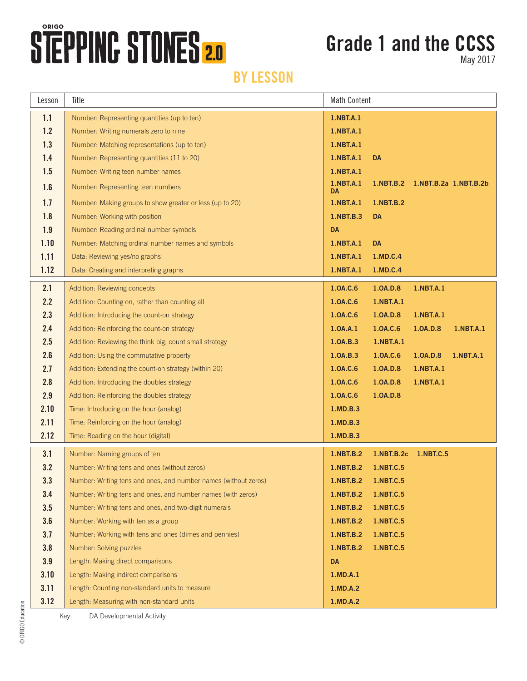# STEPPING STONES 2.0

## **Grade 1 and the CCSS**

May 2017

#### **BY LESSON**

| Lesson | Title                                                           | <b>Math Content</b> |                       |                                 |           |
|--------|-----------------------------------------------------------------|---------------------|-----------------------|---------------------------------|-----------|
| 1.1    | Number: Representing quantities (up to ten)                     | 1.NBT.A.1           |                       |                                 |           |
| 1.2    | Number: Writing numerals zero to nine                           | 1.NBT.A.1           |                       |                                 |           |
| 1.3    | Number: Matching representations (up to ten)                    | 1.NBT.A.1           |                       |                                 |           |
| 1.4    | Number: Representing quantities (11 to 20)                      | 1.NBT.A.1           | <b>DA</b>             |                                 |           |
| 1.5    | Number: Writing teen number names                               | 1.NBT.A.1           |                       |                                 |           |
| 1.6    | Number: Representing teen numbers                               | 1.NBT.A.1<br>DA     |                       | 1.NBT.B.2 1.NBT.B.2a 1.NBT.B.2b |           |
| 1.7    | Number: Making groups to show greater or less (up to 20)        | 1.NBT.A.1           | 1.NBT.B.2             |                                 |           |
| 1.8    | Number: Working with position                                   | 1.NBT.B.3           | <b>DA</b>             |                                 |           |
| 1.9    | Number: Reading ordinal number symbols                          | <b>DA</b>           |                       |                                 |           |
| 1.10   | Number: Matching ordinal number names and symbols               | 1.NBT.A.1           | <b>DA</b>             |                                 |           |
| 1.11   | Data: Reviewing yes/no graphs                                   | 1.NBT.A.1           | 1.MD.C.4              |                                 |           |
| 1.12   | Data: Creating and interpreting graphs                          | 1.NBT.A.1           | 1.MD.C.4              |                                 |           |
| 2.1    | Addition: Reviewing concepts                                    | 1.0A.C.6            | 1.0A.D.8              | 1.NBT.A.1                       |           |
| 2.2    | Addition: Counting on, rather than counting all                 | 1.0A.C.6            | 1.NBT.A.1             |                                 |           |
| 2.3    | Addition: Introducing the count-on strategy                     | 1.0A.C.6            | 1.0A.D.8              | 1.NBT.A.1                       |           |
| 2.4    | Addition: Reinforcing the count-on strategy                     | 1.0A.A.1            | 1.0A.C.6              | 1.0A.D.8                        | 1.NBT.A.1 |
| 2.5    | Addition: Reviewing the think big, count small strategy         | 1.0A.B.3            | 1.NBT.A.1             |                                 |           |
| 2.6    | Addition: Using the commutative property                        | 1.0A.B.3            | 1.0A.C.6              | 1.0A.D.8                        | 1.NBT.A.1 |
| 2.7    | Addition: Extending the count-on strategy (within 20)           | 1.0A.C.6            | 1.0A.D.8              | 1.NBT.A.1                       |           |
| 2.8    | Addition: Introducing the doubles strategy                      | 1.0A.C.6            | 1.0A.D.8              | 1.NBT.A.1                       |           |
| 2.9    | Addition: Reinforcing the doubles strategy                      | 1.0A.C.6            | 1.0A.D.8              |                                 |           |
| 2.10   | Time: Introducing on the hour (analog)                          | 1.MD.B.3            |                       |                                 |           |
| 2.11   | Time: Reinforcing on the hour (analog)                          | 1.MD.B.3            |                       |                                 |           |
| 2.12   | Time: Reading on the hour (digital)                             | 1.MD.B.3            |                       |                                 |           |
| 3.1    | Number: Naming groups of ten                                    | 1.NBT.B.2           | 1.NBT.B.2c  1.NBT.C.5 |                                 |           |
| 3.2    | Number: Writing tens and ones (without zeros)                   | 1.NBT.B.2           | 1.NBT.C.5             |                                 |           |
| 3.3    | Number: Writing tens and ones, and number names (without zeros) | 1.NBT.B.2           | 1.NBT.C.5             |                                 |           |
| 3.4    | Number: Writing tens and ones, and number names (with zeros)    | 1.NBT.B.2           | <b>1.NBT.C.5</b>      |                                 |           |
| 3.5    | Number: Writing tens and ones, and two-digit numerals           | 1.NBT.B.2           | 1.NBT.C.5             |                                 |           |
| 3.6    | Number: Working with ten as a group                             | 1.NBT.B.2           | 1.NBT.C.5             |                                 |           |
| 3.7    | Number: Working with tens and ones (dimes and pennies)          | <b>1.NBT.B.2</b>    | 1.NBT.C.5             |                                 |           |
| 3.8    | Number: Solving puzzles                                         | 1.NBT.B.2           | 1.NBT.C.5             |                                 |           |
| 3.9    | Length: Making direct comparisons                               | <b>DA</b>           |                       |                                 |           |
| 3.10   | Length: Making indirect comparisons                             | 1.MD.A.1            |                       |                                 |           |
| 3.11   | Length: Counting non-standard units to measure                  | 1.MD.A.2            |                       |                                 |           |
| 3.12   | Length: Measuring with non-standard units                       | 1.MD.A.2            |                       |                                 |           |

Key: DA Developmental Activity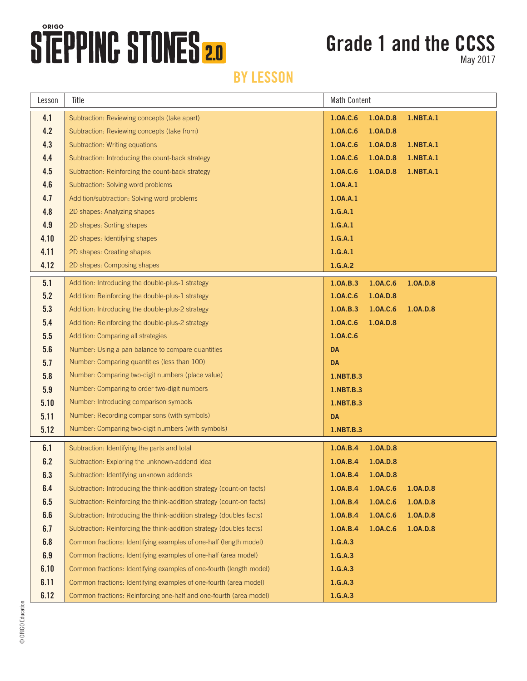## **STEPPING STONES 2.0**

### **Grade 1 and the CCSS**

May 2017

### **BY LESSON**

| Lesson | Title                                                                 | <b>Math Content</b> |          |           |  |
|--------|-----------------------------------------------------------------------|---------------------|----------|-----------|--|
| 4.1    | Subtraction: Reviewing concepts (take apart)                          | 1.0A.C.6            | 1.0A.D.8 | 1.NBT.A.1 |  |
| 4.2    | Subtraction: Reviewing concepts (take from)                           | 1.0A.C.6            | 1.0A.D.8 |           |  |
| 4.3    | Subtraction: Writing equations                                        | 1.0A.C.6            | 1.0A.D.8 | 1.NBT.A.1 |  |
| 4.4    | Subtraction: Introducing the count-back strategy                      | 1.0A.C.6            | 1.0A.D.8 | 1.NBT.A.1 |  |
| 4.5    | Subtraction: Reinforcing the count-back strategy                      | 1.0A.C.6            | 1.0A.D.8 | 1.NBT.A.1 |  |
| 4.6    | Subtraction: Solving word problems                                    | 1.0A.A.1            |          |           |  |
| 4.7    | Addition/subtraction: Solving word problems                           | 1.0A.A.1            |          |           |  |
| 4.8    | 2D shapes: Analyzing shapes                                           | 1.G.A.1             |          |           |  |
| 4.9    | 2D shapes: Sorting shapes                                             | 1.G.A.1             |          |           |  |
| 4.10   | 2D shapes: Identifying shapes                                         | 1.G.A.1             |          |           |  |
| 4.11   | 2D shapes: Creating shapes                                            | 1.G.A.1             |          |           |  |
| 4.12   | 2D shapes: Composing shapes                                           | 1.G.A.2             |          |           |  |
| 5.1    | Addition: Introducing the double-plus-1 strategy                      | 1.0A.B.3            | 1.0A.C.6 | 1.0A.D.8  |  |
| 5.2    | Addition: Reinforcing the double-plus-1 strategy                      | 1.0A.C.6            | 1.0A.D.8 |           |  |
| 5.3    | Addition: Introducing the double-plus-2 strategy                      | 1.0A.B.3            | 1.0A.C.6 | 1.0A.D.8  |  |
| 5.4    | Addition: Reinforcing the double-plus-2 strategy                      | 1.0A.C.6            | 1.0A.D.8 |           |  |
| 5.5    | Addition: Comparing all strategies                                    | 1.0A.C.6            |          |           |  |
| 5.6    | Number: Using a pan balance to compare quantities                     | <b>DA</b>           |          |           |  |
| 5.7    | Number: Comparing quantities (less than 100)                          | <b>DA</b>           |          |           |  |
| 5.8    | Number: Comparing two-digit numbers (place value)                     | 1.NBT.B.3           |          |           |  |
| 5.9    | Number: Comparing to order two-digit numbers                          | 1.NBT.B.3           |          |           |  |
| 5.10   | Number: Introducing comparison symbols                                | 1.NBT.B.3           |          |           |  |
| 5.11   | Number: Recording comparisons (with symbols)                          | <b>DA</b>           |          |           |  |
| 5.12   | Number: Comparing two-digit numbers (with symbols)                    | 1.NBT.B.3           |          |           |  |
| 6.1    | Subtraction: Identifying the parts and total                          | 1.0A.B.4            | 1.0A.D.8 |           |  |
| 6.2    | Subtraction: Exploring the unknown-addend idea                        | 1.0A.B.4            | 1.0A.D.8 |           |  |
| 6.3    | Subtraction: Identifying unknown addends                              | 1.0A.B.4            | 1.0A.D.8 |           |  |
| 6.4    | Subtraction: Introducing the think-addition strategy (count-on facts) | 1.0A.B.4            | 1.0A.C.6 | 1.0A.D.8  |  |
| 6.5    | Subtraction: Reinforcing the think-addition strategy (count-on facts) | 1.0A.B.4            | 1.0A.C.6 | 1.0A.D.8  |  |
| 6.6    | Subtraction: Introducing the think-addition strategy (doubles facts)  | 1.0A.B.4            | 1.0A.C.6 | 1.0A.D.8  |  |
| 6.7    | Subtraction: Reinforcing the think-addition strategy (doubles facts)  | 1.0A.B.4            | 1.0A.C.6 | 1.0A.D.8  |  |
| 6.8    | Common fractions: Identifying examples of one-half (length model)     | 1.G.A.3             |          |           |  |
| 6.9    | Common fractions: Identifying examples of one-half (area model)       | 1.G.A.3             |          |           |  |
| 6.10   | Common fractions: Identifying examples of one-fourth (length model)   | 1.G.A.3             |          |           |  |
| 6.11   | Common fractions: Identifying examples of one-fourth (area model)     | 1.G.A.3             |          |           |  |
| 6.12   | Common fractions: Reinforcing one-half and one-fourth (area model)    | 1.G.A.3             |          |           |  |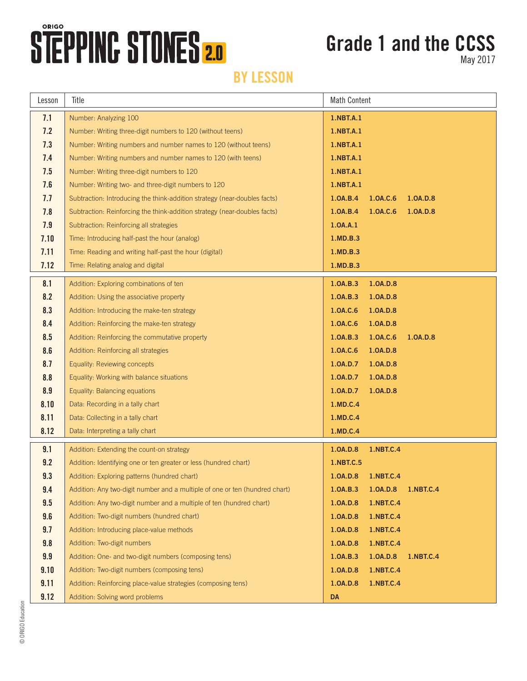## **STEPPING STONES 2.0**

## **Grade 1 and the CCSS**

May 2017

#### **BY LESSON**

| Lesson | Title                                                                       | <b>Math Content</b> |                    |           |  |
|--------|-----------------------------------------------------------------------------|---------------------|--------------------|-----------|--|
| 7.1    | Number: Analyzing 100                                                       | 1.NBT.A.1           |                    |           |  |
| 7.2    | Number: Writing three-digit numbers to 120 (without teens)                  | 1.NBT.A.1           |                    |           |  |
| 7.3    | Number: Writing numbers and number names to 120 (without teens)             | 1.NBT.A.1           |                    |           |  |
| 7.4    | Number: Writing numbers and number names to 120 (with teens)                | 1.NBT.A.1           |                    |           |  |
| 7.5    | Number: Writing three-digit numbers to 120                                  | 1.NBT.A.1           |                    |           |  |
| 7.6    | Number: Writing two- and three-digit numbers to 120                         | 1.NBT.A.1           |                    |           |  |
| 7.7    | Subtraction: Introducing the think-addition strategy (near-doubles facts)   | 1.0A.B.4            | 1.0A.C.6           | 1.0A.D.8  |  |
| 7.8    | Subtraction: Reinforcing the think-addition strategy (near-doubles facts)   | 1.0A.B.4            | 1.0A.C.6           | 1.0A.D.8  |  |
| 7.9    | Subtraction: Reinforcing all strategies                                     | 1.0A.A.1            |                    |           |  |
| 7.10   | Time: Introducing half-past the hour (analog)                               | 1.MD.B.3            |                    |           |  |
| 7.11   | Time: Reading and writing half-past the hour (digital)                      | 1.MD.B.3            |                    |           |  |
| 7.12   | Time: Relating analog and digital                                           | 1.MD.B.3            |                    |           |  |
| 8.1    | Addition: Exploring combinations of ten                                     | 1.0A.B.3            | 1.0A.D.8           |           |  |
| 8.2    | Addition: Using the associative property                                    | 1.0A.B.3            | 1.0A.D.8           |           |  |
| 8.3    | Addition: Introducing the make-ten strategy                                 | 1.0A.C.6            | 1.0A.D.8           |           |  |
| 8.4    | Addition: Reinforcing the make-ten strategy                                 | 1.0A.C.6            | 1.0A.D.8           |           |  |
| 8.5    | Addition: Reinforcing the commutative property                              | 1.0A.B.3            | 1.0A.C.6           | 1.0A.D.8  |  |
| 8.6    | Addition: Reinforcing all strategies                                        | 1.0A.C.6            | 1.0A.D.8           |           |  |
| 8.7    | Equality: Reviewing concepts                                                | 1.0A.D.7            | 1.0A.D.8           |           |  |
| 8.8    | Equality: Working with balance situations                                   | 1.0A.D.7            | 1.0A.D.8           |           |  |
| 8.9    | Equality: Balancing equations                                               | 1.0A.D.7            | 1.0A.D.8           |           |  |
| 8.10   | Data: Recording in a tally chart                                            | 1.MD.C.4            |                    |           |  |
| 8.11   | Data: Collecting in a tally chart                                           | 1.MD.C.4            |                    |           |  |
| 8.12   | Data: Interpreting a tally chart                                            | 1.MD.C.4            |                    |           |  |
| 9.1    | Addition: Extending the count-on strategy                                   | 1.0A.D.8            | 1.NBT.C.4          |           |  |
| 9.2    | Addition: Identifying one or ten greater or less (hundred chart)            | 1.NBT.C.5           |                    |           |  |
| 9.3    | Addition: Exploring patterns (hundred chart)                                |                     | 1.0A.D.8 1.NBT.C.4 |           |  |
| 9.4    | Addition: Any two-digit number and a multiple of one or ten (hundred chart) | 1.0A.B.3            | 1.0A.D.8           | 1.NBT.C.4 |  |
| 9.5    | Addition: Any two-digit number and a multiple of ten (hundred chart)        | 1.0A.D.8            | 1.NBT.C.4          |           |  |
| 9.6    | Addition: Two-digit numbers (hundred chart)                                 | 1.0A.D.8            | 1.NBT.C.4          |           |  |
| 9.7    | Addition: Introducing place-value methods                                   | 1.0A.D.8            | 1.NBT.C.4          |           |  |
| 9.8    | Addition: Two-digit numbers                                                 | 1.0A.D.8            | 1.NBT.C.4          |           |  |
| 9.9    | Addition: One- and two-digit numbers (composing tens)                       | 1.0A.B.3            | 1.0A.D.8           | 1.NBT.C.4 |  |
| 9.10   | Addition: Two-digit numbers (composing tens)                                | 1.0A.D.8            | 1.NBT.C.4          |           |  |
| 9.11   | Addition: Reinforcing place-value strategies (composing tens)               | 1.0A.D.8            | 1.NBT.C.4          |           |  |
| 9.12   | Addition: Solving word problems                                             | <b>DA</b>           |                    |           |  |